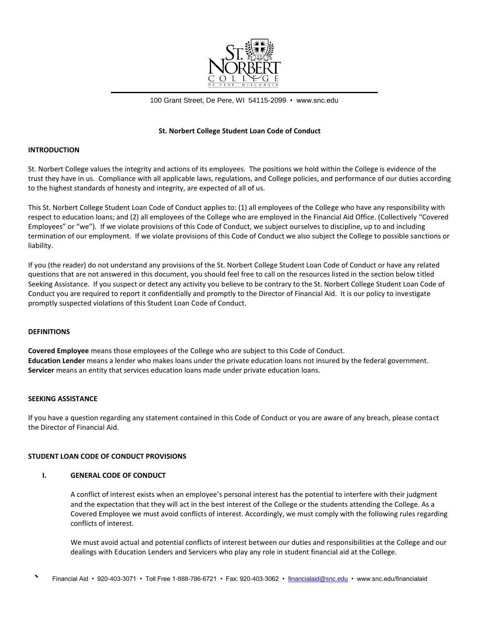

100 Grant Street, De Pere, WI 54115-2099 • www.snc.edu

## **St. Norbert College Student Loan Code of Conduct**

### **INTRODUCTION**

St. Norbert College values the integrity and actions of its employees. The positions we hold within the College is evidence of the trust they have in us. Compliance with all applicable laws, regulations, and College policies, and performance of our duties according to the highest standards of honesty and integrity, are expected of all of us.

This St. Norbert College Student Loan Code of Conduct applies to: (1) all employees of the College who have any responsibility with respect to education loans; and (2) all employees of the College who are employed in the Financial Aid Office. (Collectively "Covered Employees" or "we"). If we violate provisions of this Code of Conduct, we subject ourselves to discipline, up to and including termination of our employment. If we violate provisions of this Code of Conduct we also subject the College to possible sanctions or liability.

If you (the reader) do not understand any provisions of the St. Norbert College Student Loan Code of Conduct or have any related questions that are not answered in this document, you should feel free to call on the resources listed in the section below titled Seeking Assistance. If you suspect or detect any activity you believe to be contrary to the St. Norbert College Student Loan Code of Conduct you are required to report it confidentially and promptly to the Director of Financial Aid. It is our policy to investigate promptly suspected violations of this Student Loan Code of Conduct.

### **DEFINITIONS**

**Covered Employee** means those employees of the College who are subject to this Code of Conduct. **Education Lender** means a lender who makes loans under the private education loans not insured by the federal government. **Servicer** means an entity that services education loans made under private education loans.

### **SEEKING ASSISTANCE**

If you have a question regarding any statement contained in this Code of Conduct or you are aware of any breach, please contact the Director of Financial Aid.

### **STUDENT LOAN CODE OF CONDUCT PROVISIONS**

## **I. GENERAL CODE OF CONDUCT**

A conflict of interest exists when an employee's personal interest has the potential to interfere with their judgment and the expectation that they will act in the best interest of the College or the students attending the College. As a Covered Employee we must avoid conflicts of interest. Accordingly, we must comply with the following rules regarding conflicts of interest.

We must avoid actual and potential conflicts of interest between our duties and responsibilities at the College and our dealings with Education Lenders and Servicers who play any role in student financial aid at the College.

Financial Aid • 920-403-3071 • Toll Free 1-888-786-6721 • Fax: 920-403-3062 • [financialaid@snc.edu](mailto:financialaid@snc.edu) • www.snc.edu/financialaid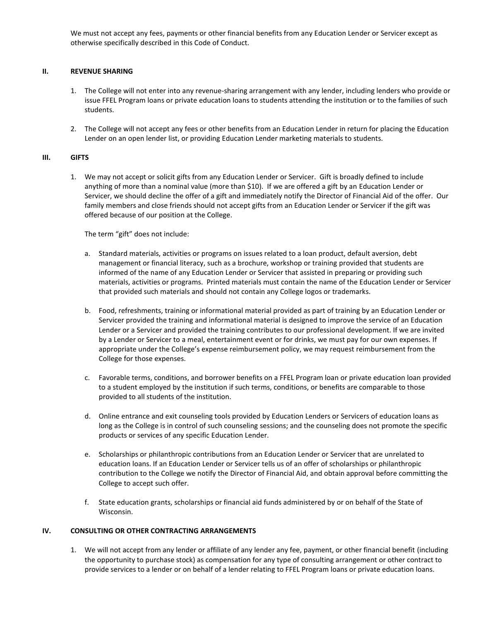We must not accept any fees, payments or other financial benefits from any Education Lender or Servicer except as otherwise specifically described in this Code of Conduct.

# **II. REVENUE SHARING**

- 1. The College will not enter into any revenue-sharing arrangement with any lender, including lenders who provide or issue FFEL Program loans or private education loans to students attending the institution or to the families of such students.
- 2. The College will not accept any fees or other benefits from an Education Lender in return for placing the Education Lender on an open lender list, or providing Education Lender marketing materials to students.

# **III. GIFTS**

1. We may not accept or solicit gifts from any Education Lender or Servicer. Gift is broadly defined to include anything of more than a nominal value (more than \$10). If we are offered a gift by an Education Lender or Servicer, we should decline the offer of a gift and immediately notify the Director of Financial Aid of the offer. Our family members and close friends should not accept gifts from an Education Lender or Servicer if the gift was offered because of our position at the College.

The term "gift" does not include:

- a. Standard materials, activities or programs on issues related to a loan product, default aversion, debt management or financial literacy, such as a brochure, workshop or training provided that students are informed of the name of any Education Lender or Servicer that assisted in preparing or providing such materials, activities or programs. Printed materials must contain the name of the Education Lender or Servicer that provided such materials and should not contain any College logos or trademarks.
- b. Food, refreshments, training or informational material provided as part of training by an Education Lender or Servicer provided the training and informational material is designed to improve the service of an Education Lender or a Servicer and provided the training contributes to our professional development. If we are invited by a Lender or Servicer to a meal, entertainment event or for drinks, we must pay for our own expenses. If appropriate under the College's expense reimbursement policy, we may request reimbursement from the College for those expenses.
- c. Favorable terms, conditions, and borrower benefits on a FFEL Program loan or private education loan provided to a student employed by the institution if such terms, conditions, or benefits are comparable to those provided to all students of the institution.
- d. Online entrance and exit counseling tools provided by Education Lenders or Servicers of education loans as long as the College is in control of such counseling sessions; and the counseling does not promote the specific products or services of any specific Education Lender.
- e. Scholarships or philanthropic contributions from an Education Lender or Servicer that are unrelated to education loans. If an Education Lender or Servicer tells us of an offer of scholarships or philanthropic contribution to the College we notify the Director of Financial Aid, and obtain approval before committing the College to accept such offer.
- f. State education grants, scholarships or financial aid funds administered by or on behalf of the State of Wisconsin.

# **IV. CONSULTING OR OTHER CONTRACTING ARRANGEMENTS**

1. We will not accept from any lender or affiliate of any lender any fee, payment, or other financial benefit (including the opportunity to purchase stock) as compensation for any type of consulting arrangement or other contract to provide services to a lender or on behalf of a lender relating to FFEL Program loans or private education loans.